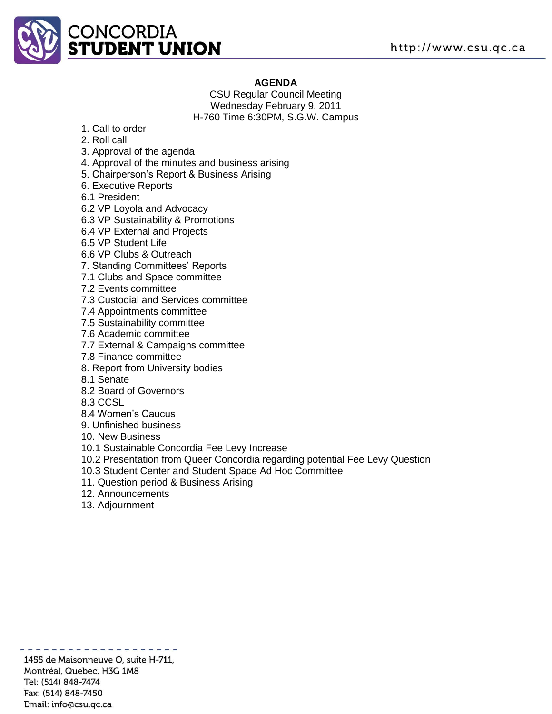

## **AGENDA**

CSU Regular Council Meeting Wednesday February 9, 2011 H-760 Time 6:30PM, S.G.W. Campus

- 1. Call to order
- 2. Roll call
- 3. Approval of the agenda
- 4. Approval of the minutes and business arising
- 5. Chairperson's Report & Business Arising
- 6. Executive Reports
- 6.1 President
- 6.2 VP Loyola and Advocacy
- 6.3 VP Sustainability & Promotions
- 6.4 VP External and Projects
- 6.5 VP Student Life
- 6.6 VP Clubs & Outreach
- 7. Standing Committees' Reports
- 7.1 Clubs and Space committee
- 7.2 Events committee
- 7.3 Custodial and Services committee
- 7.4 Appointments committee
- 7.5 Sustainability committee
- 7.6 Academic committee
- 7.7 External & Campaigns committee
- 7.8 Finance committee
- 8. Report from University bodies
- 8.1 Senate
- 8.2 Board of Governors
- 8.3 CCSL
- 8.4 Women's Caucus
- 9. Unfinished business
- 10. New Business
- 10.1 Sustainable Concordia Fee Levy Increase
- 10.2 Presentation from Queer Concordia regarding potential Fee Levy Question
- 10.3 Student Center and Student Space Ad Hoc Committee
- 11. Question period & Business Arising
- 12. Announcements
- 13. Adjournment

1455 de Maisonneuve O, suite H-711, Montréal, Quebec, H3G 1M8 Tel: (514) 848-7474 Fax: (514) 848-7450 Email: info@csu.qc.ca

. . . . . . . . . . . .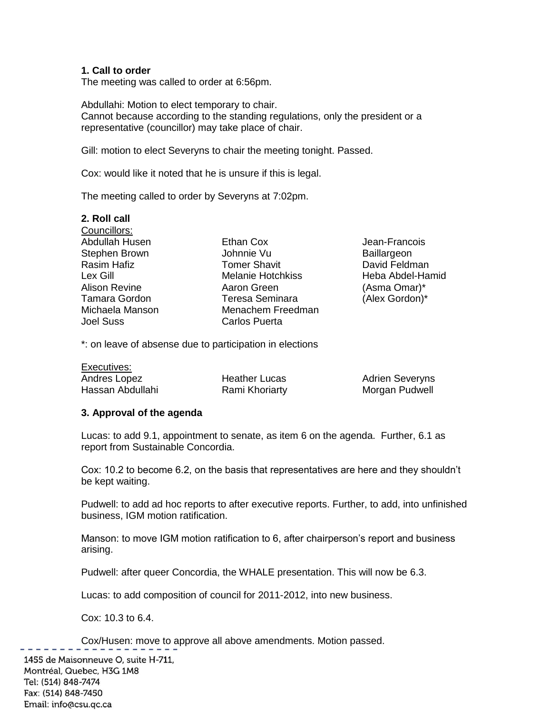### **1. Call to order**

The meeting was called to order at 6:56pm.

Abdullahi: Motion to elect temporary to chair. Cannot because according to the standing regulations, only the president or a representative (councillor) may take place of chair.

Gill: motion to elect Severyns to chair the meeting tonight. Passed.

Cox: would like it noted that he is unsure if this is legal.

The meeting called to order by Severyns at 7:02pm.

| 2. Roll call         |                          |                    |
|----------------------|--------------------------|--------------------|
| Councillors:         |                          |                    |
| Abdullah Husen       | Ethan Cox                | Jean-Francois      |
| Stephen Brown        | Johnnie Vu               | <b>Baillargeon</b> |
| Rasim Hafiz          | <b>Tomer Shavit</b>      | David Feldman      |
| Lex Gill             | <b>Melanie Hotchkiss</b> | Heba Abdel-Hamid   |
| <b>Alison Revine</b> | Aaron Green              | (Asma Omar)*       |
| <b>Tamara Gordon</b> | <b>Teresa Seminara</b>   | (Alex Gordon)*     |
| Michaela Manson      | Menachem Freedman        |                    |
| <b>Joel Suss</b>     | Carlos Puerta            |                    |
|                      |                          |                    |

\*: on leave of absense due to participation in elections

| Executives:      |                      |                        |  |
|------------------|----------------------|------------------------|--|
| Andres Lopez     | <b>Heather Lucas</b> | <b>Adrien Severyns</b> |  |
| Hassan Abdullahi | Rami Khoriarty       | Morgan Pudwell         |  |

### **3. Approval of the agenda**

Lucas: to add 9.1, appointment to senate, as item 6 on the agenda. Further, 6.1 as report from Sustainable Concordia.

Cox: 10.2 to become 6.2, on the basis that representatives are here and they shouldn't be kept waiting.

Pudwell: to add ad hoc reports to after executive reports. Further, to add, into unfinished business, IGM motion ratification.

Manson: to move IGM motion ratification to 6, after chairperson's report and business arising.

Pudwell: after queer Concordia, the WHALE presentation. This will now be 6.3.

Lucas: to add composition of council for 2011-2012, into new business.

Cox: 10.3 to 6.4.

Cox/Husen: move to approve all above amendments. Motion passed.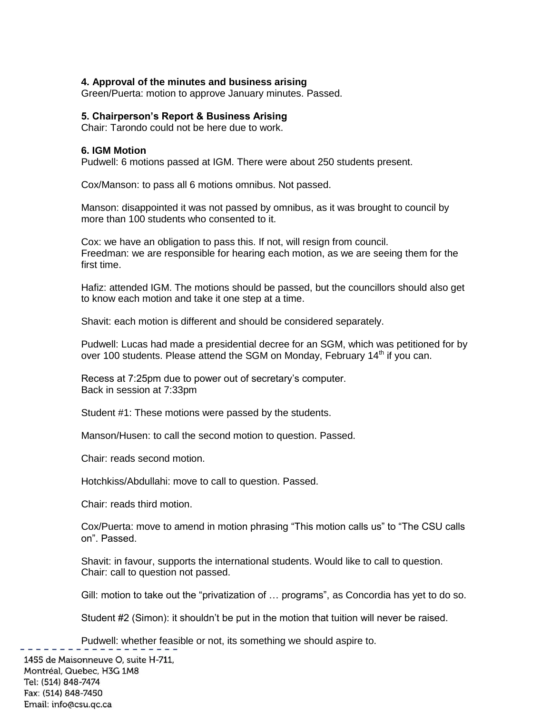### **4. Approval of the minutes and business arising**

Green/Puerta: motion to approve January minutes. Passed.

#### **5. Chairperson's Report & Business Arising**

Chair: Tarondo could not be here due to work.

#### **6. IGM Motion**

Pudwell: 6 motions passed at IGM. There were about 250 students present.

Cox/Manson: to pass all 6 motions omnibus. Not passed.

Manson: disappointed it was not passed by omnibus, as it was brought to council by more than 100 students who consented to it.

Cox: we have an obligation to pass this. If not, will resign from council. Freedman: we are responsible for hearing each motion, as we are seeing them for the first time.

Hafiz: attended IGM. The motions should be passed, but the councillors should also get to know each motion and take it one step at a time.

Shavit: each motion is different and should be considered separately.

Pudwell: Lucas had made a presidential decree for an SGM, which was petitioned for by over 100 students. Please attend the SGM on Monday, February  $14<sup>th</sup>$  if you can.

Recess at 7:25pm due to power out of secretary's computer. Back in session at 7:33pm

Student #1: These motions were passed by the students.

Manson/Husen: to call the second motion to question. Passed.

Chair: reads second motion.

Hotchkiss/Abdullahi: move to call to question. Passed.

Chair: reads third motion.

Cox/Puerta: move to amend in motion phrasing "This motion calls us" to "The CSU calls on". Passed.

Shavit: in favour, supports the international students. Would like to call to question. Chair: call to question not passed.

Gill: motion to take out the "privatization of … programs", as Concordia has yet to do so.

Student #2 (Simon): it shouldn't be put in the motion that tuition will never be raised.

Pudwell: whether feasible or not, its something we should aspire to.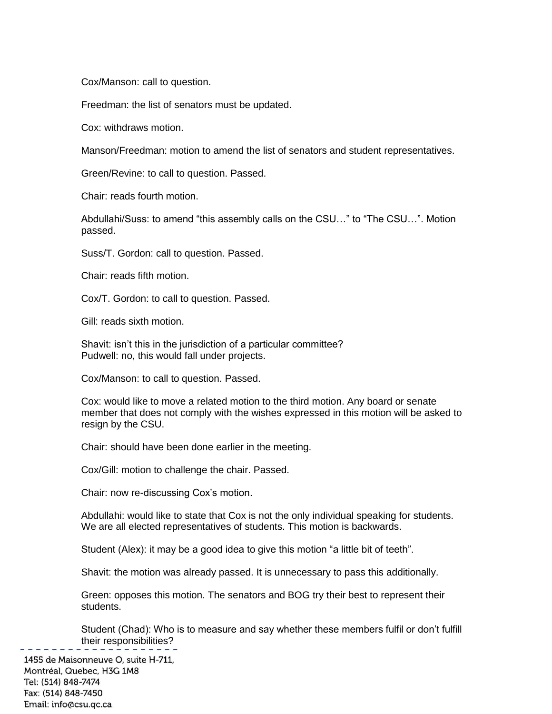Cox/Manson: call to question.

Freedman: the list of senators must be updated.

Cox: withdraws motion.

Manson/Freedman: motion to amend the list of senators and student representatives.

Green/Revine: to call to question. Passed.

Chair: reads fourth motion.

Abdullahi/Suss: to amend "this assembly calls on the CSU…" to "The CSU…". Motion passed.

Suss/T. Gordon: call to question. Passed.

Chair: reads fifth motion.

Cox/T. Gordon: to call to question. Passed.

Gill: reads sixth motion.

Shavit: isn't this in the jurisdiction of a particular committee? Pudwell: no, this would fall under projects.

Cox/Manson: to call to question. Passed.

Cox: would like to move a related motion to the third motion. Any board or senate member that does not comply with the wishes expressed in this motion will be asked to resign by the CSU.

Chair: should have been done earlier in the meeting.

Cox/Gill: motion to challenge the chair. Passed.

Chair: now re-discussing Cox's motion.

Abdullahi: would like to state that Cox is not the only individual speaking for students. We are all elected representatives of students. This motion is backwards.

Student (Alex): it may be a good idea to give this motion "a little bit of teeth".

Shavit: the motion was already passed. It is unnecessary to pass this additionally.

Green: opposes this motion. The senators and BOG try their best to represent their students.

Student (Chad): Who is to measure and say whether these members fulfil or don't fulfill their responsibilities?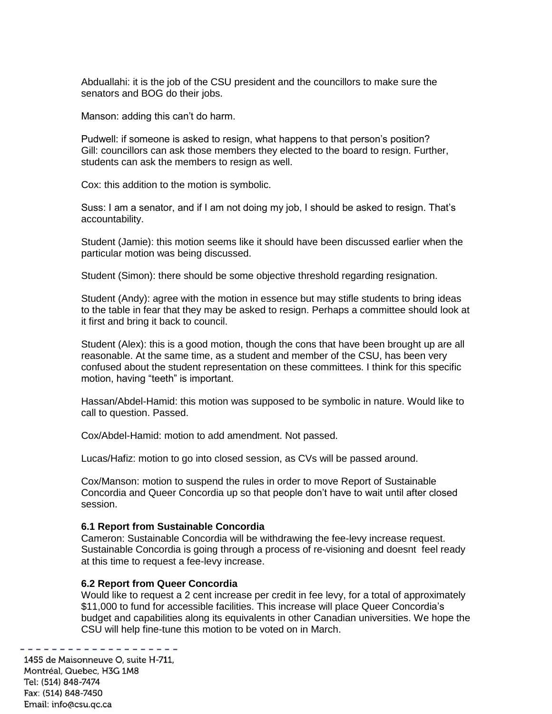Abduallahi: it is the job of the CSU president and the councillors to make sure the senators and BOG do their jobs.

Manson: adding this can't do harm.

Pudwell: if someone is asked to resign, what happens to that person's position? Gill: councillors can ask those members they elected to the board to resign. Further, students can ask the members to resign as well.

Cox: this addition to the motion is symbolic.

Suss: I am a senator, and if I am not doing my job, I should be asked to resign. That's accountability.

Student (Jamie): this motion seems like it should have been discussed earlier when the particular motion was being discussed.

Student (Simon): there should be some objective threshold regarding resignation.

Student (Andy): agree with the motion in essence but may stifle students to bring ideas to the table in fear that they may be asked to resign. Perhaps a committee should look at it first and bring it back to council.

Student (Alex): this is a good motion, though the cons that have been brought up are all reasonable. At the same time, as a student and member of the CSU, has been very confused about the student representation on these committees. I think for this specific motion, having "teeth" is important.

Hassan/Abdel-Hamid: this motion was supposed to be symbolic in nature. Would like to call to question. Passed.

Cox/Abdel-Hamid: motion to add amendment. Not passed.

Lucas/Hafiz: motion to go into closed session, as CVs will be passed around.

Cox/Manson: motion to suspend the rules in order to move Report of Sustainable Concordia and Queer Concordia up so that people don't have to wait until after closed session.

#### **6.1 Report from Sustainable Concordia**

Cameron: Sustainable Concordia will be withdrawing the fee-levy increase request. Sustainable Concordia is going through a process of re-visioning and doesnt feel ready at this time to request a fee-levy increase.

#### **6.2 Report from Queer Concordia**

Would like to request a 2 cent increase per credit in fee levy, for a total of approximately \$11,000 to fund for accessible facilities. This increase will place Queer Concordia's budget and capabilities along its equivalents in other Canadian universities. We hope the CSU will help fine-tune this motion to be voted on in March.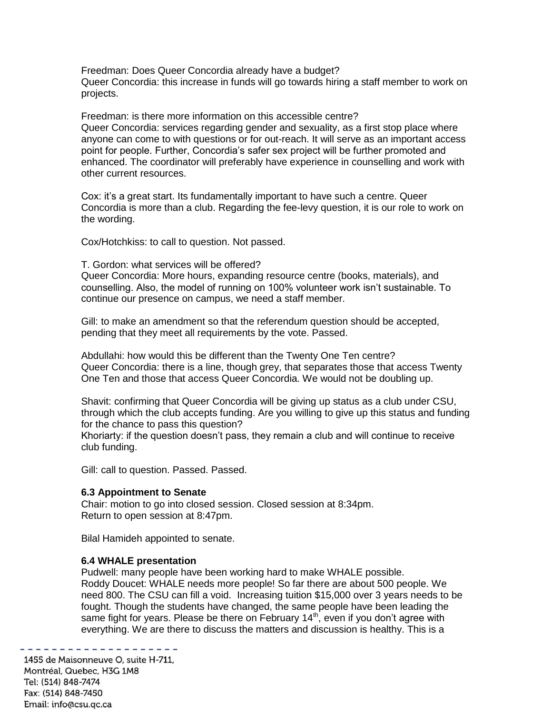Freedman: Does Queer Concordia already have a budget? Queer Concordia: this increase in funds will go towards hiring a staff member to work on projects.

Freedman: is there more information on this accessible centre? Queer Concordia: services regarding gender and sexuality, as a first stop place where anyone can come to with questions or for out-reach. It will serve as an important access point for people. Further, Concordia's safer sex project will be further promoted and enhanced. The coordinator will preferably have experience in counselling and work with other current resources.

Cox: it's a great start. Its fundamentally important to have such a centre. Queer Concordia is more than a club. Regarding the fee-levy question, it is our role to work on the wording.

Cox/Hotchkiss: to call to question. Not passed.

T. Gordon: what services will be offered?

Queer Concordia: More hours, expanding resource centre (books, materials), and counselling. Also, the model of running on 100% volunteer work isn't sustainable. To continue our presence on campus, we need a staff member.

Gill: to make an amendment so that the referendum question should be accepted, pending that they meet all requirements by the vote. Passed.

Abdullahi: how would this be different than the Twenty One Ten centre? Queer Concordia: there is a line, though grey, that separates those that access Twenty One Ten and those that access Queer Concordia. We would not be doubling up.

Shavit: confirming that Queer Concordia will be giving up status as a club under CSU, through which the club accepts funding. Are you willing to give up this status and funding for the chance to pass this question?

Khoriarty: if the question doesn't pass, they remain a club and will continue to receive club funding.

Gill: call to question. Passed. Passed.

### **6.3 Appointment to Senate**

Chair: motion to go into closed session. Closed session at 8:34pm. Return to open session at 8:47pm.

Bilal Hamideh appointed to senate.

### **6.4 WHALE presentation**

Pudwell: many people have been working hard to make WHALE possible. Roddy Doucet: WHALE needs more people! So far there are about 500 people. We need 800. The CSU can fill a void. Increasing tuition \$15,000 over 3 years needs to be fought. Though the students have changed, the same people have been leading the same fight for years. Please be there on February  $14<sup>th</sup>$ , even if you don't agree with everything. We are there to discuss the matters and discussion is healthy. This is a

1455 de Maisonneuve O, suite H-711, Montréal, Quebec, H3G 1M8 Tel: (514) 848-7474 Fax: (514) 848-7450 Email: info@csu.qc.ca

. <u>. . . . . .</u> .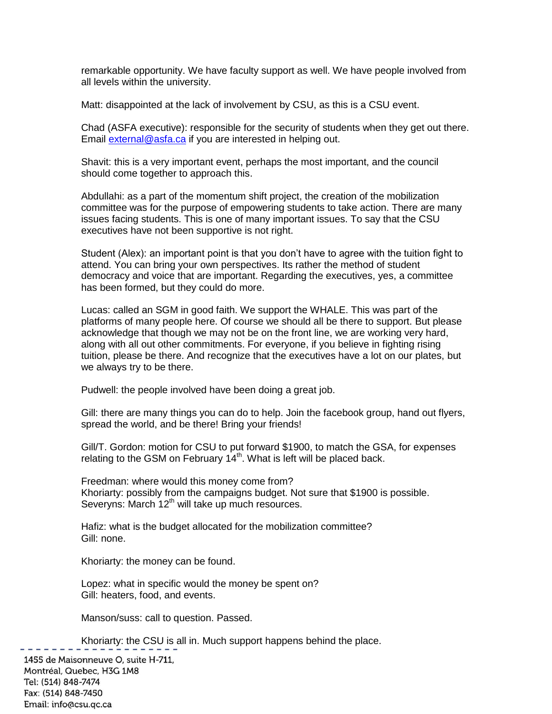remarkable opportunity. We have faculty support as well. We have people involved from all levels within the university.

Matt: disappointed at the lack of involvement by CSU, as this is a CSU event.

Chad (ASFA executive): responsible for the security of students when they get out there. Email [external@asfa.ca](mailto:external@asfa.ca) if you are interested in helping out.

Shavit: this is a very important event, perhaps the most important, and the council should come together to approach this.

Abdullahi: as a part of the momentum shift project, the creation of the mobilization committee was for the purpose of empowering students to take action. There are many issues facing students. This is one of many important issues. To say that the CSU executives have not been supportive is not right.

Student (Alex): an important point is that you don't have to agree with the tuition fight to attend. You can bring your own perspectives. Its rather the method of student democracy and voice that are important. Regarding the executives, yes, a committee has been formed, but they could do more.

Lucas: called an SGM in good faith. We support the WHALE. This was part of the platforms of many people here. Of course we should all be there to support. But please acknowledge that though we may not be on the front line, we are working very hard, along with all out other commitments. For everyone, if you believe in fighting rising tuition, please be there. And recognize that the executives have a lot on our plates, but we always try to be there.

Pudwell: the people involved have been doing a great job.

Gill: there are many things you can do to help. Join the facebook group, hand out flyers, spread the world, and be there! Bring your friends!

Gill/T. Gordon: motion for CSU to put forward \$1900, to match the GSA, for expenses relating to the GSM on February  $14<sup>th</sup>$ . What is left will be placed back.

Freedman: where would this money come from? Khoriarty: possibly from the campaigns budget. Not sure that \$1900 is possible. Severyns: March  $12<sup>th</sup>$  will take up much resources.

Hafiz: what is the budget allocated for the mobilization committee? Gill: none.

Khoriarty: the money can be found.

Lopez: what in specific would the money be spent on? Gill: heaters, food, and events.

Manson/suss: call to question. Passed.

Khoriarty: the CSU is all in. Much support happens behind the place.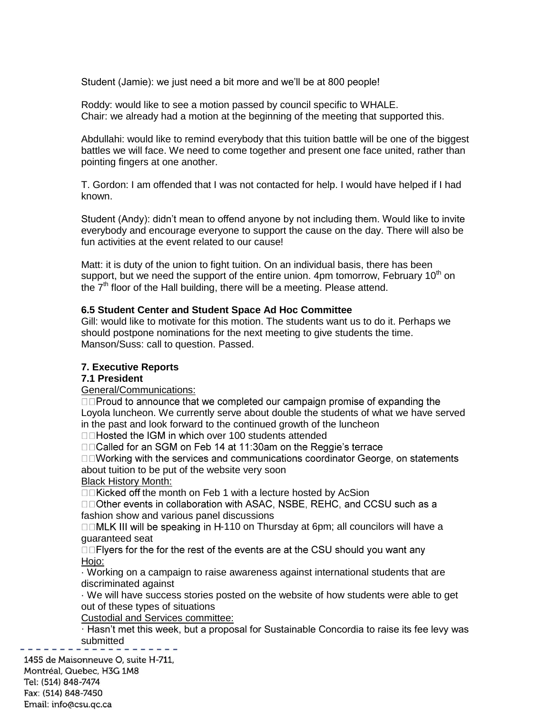Student (Jamie): we just need a bit more and we'll be at 800 people!

Roddy: would like to see a motion passed by council specific to WHALE. Chair: we already had a motion at the beginning of the meeting that supported this.

Abdullahi: would like to remind everybody that this tuition battle will be one of the biggest battles we will face. We need to come together and present one face united, rather than pointing fingers at one another.

T. Gordon: I am offended that I was not contacted for help. I would have helped if I had known.

Student (Andy): didn't mean to offend anyone by not including them. Would like to invite everybody and encourage everyone to support the cause on the day. There will also be fun activities at the event related to our cause!

Matt: it is duty of the union to fight tuition. On an individual basis, there has been support, but we need the support of the entire union. 4pm tomorrow, February  $10<sup>th</sup>$  on the  $7<sup>th</sup>$  floor of the Hall building, there will be a meeting. Please attend.

## **6.5 Student Center and Student Space Ad Hoc Committee**

Gill: would like to motivate for this motion. The students want us to do it. Perhaps we should postpone nominations for the next meeting to give students the time. Manson/Suss: call to question. Passed.

## **7. Executive Reports**

### **7.1 President**

General/Communications:

□□Proud to announce that we completed our campaign promise of expanding the Loyola luncheon. We currently serve about double the students of what we have served in the past and look forward to the continued growth of the luncheon

□□Hosted the IGM in which over 100 students attended<br>□□Called for an SGM on Feb 14 at 11:30am on the Reggie's terrace

□□Working with the services and communications coordinator George, on statements about tuition to be put of the website very soon

Black History Month:

□□Kicked off the month on Feb 1 with a lecture hosted by AcSion

□□Other events in collaboration with ASAC, NSBE, REHC, and CCSU such as a fashion show and various panel discussions

 $\Box$ MLK III will be speaking in H-110 on Thursday at 6pm; all councilors will have a guaranteed seat

□□Flyers for the for the rest of the events are at the CSU should you want any Hojo:

· Working on a campaign to raise awareness against international students that are discriminated against

· We will have success stories posted on the website of how students were able to get out of these types of situations

Custodial and Services committee:

· Hasn't met this week, but a proposal for Sustainable Concordia to raise its fee levy was submitted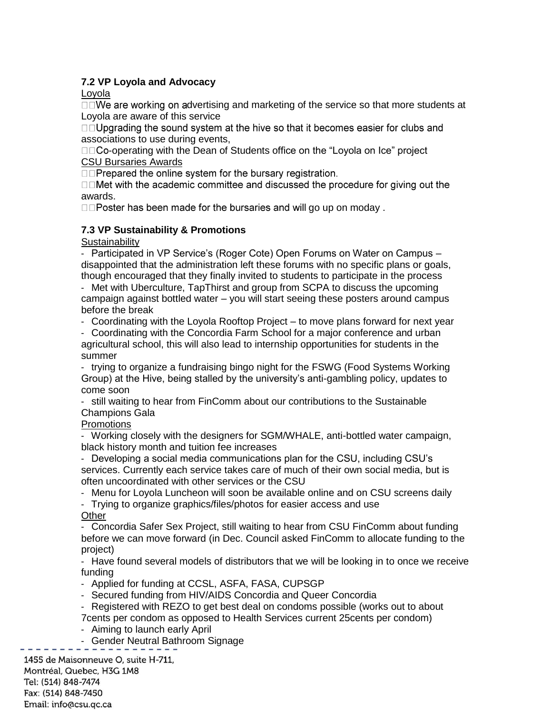## **7.2 VP Loyola and Advocacy**

Loyola

 $\square \square$ We are working on advertising and marketing of the service so that more students at Loyola are aware of this service

□□Upgrading the sound system at the hive so that it becomes easier for clubs and associations to use during events,

□□Co-operating with the Dean of Students office on the "Loyola on Ice" project CSU Bursaries Awards

□□Prepared the online system for the bursary registration.

□□Met with the academic committee and discussed the procedure for giving out the awards.

□□Poster has been made for the bursaries and will go up on moday.

## **7.3 VP Sustainability & Promotions**

**Sustainability** 

‐ Participated in VP Service's (Roger Cote) Open Forums on Water on Campus – disappointed that the administration left these forums with no specific plans or goals, though encouraged that they finally invited to students to participate in the process

‐ Met with Uberculture, TapThirst and group from SCPA to discuss the upcoming campaign against bottled water – you will start seeing these posters around campus before the break

‐ Coordinating with the Loyola Rooftop Project – to move plans forward for next year

‐ Coordinating with the Concordia Farm School for a major conference and urban agricultural school, this will also lead to internship opportunities for students in the summer

‐ trying to organize a fundraising bingo night for the FSWG (Food Systems Working Group) at the Hive, being stalled by the university's anti-gambling policy, updates to come soon

‐ still waiting to hear from FinComm about our contributions to the Sustainable Champions Gala

# **Promotions**

‐ Working closely with the designers for SGM/WHALE, anti-bottled water campaign, black history month and tuition fee increases

‐ Developing a social media communications plan for the CSU, including CSU's services. Currently each service takes care of much of their own social media, but is often uncoordinated with other services or the CSU

‐ Menu for Loyola Luncheon will soon be available online and on CSU screens daily

‐ Trying to organize graphics/files/photos for easier access and use **Other** 

‐ Concordia Safer Sex Project, still waiting to hear from CSU FinComm about funding before we can move forward (in Dec. Council asked FinComm to allocate funding to the project)

‐ Have found several models of distributors that we will be looking in to once we receive funding

‐ Applied for funding at CCSL, ASFA, FASA, CUPSGP

‐ Secured funding from HIV/AIDS Concordia and Queer Concordia

‐ Registered with REZO to get best deal on condoms possible (works out to about

7cents per condom as opposed to Health Services current 25cents per condom)

‐ Aiming to launch early April

‐ Gender Neutral Bathroom Signage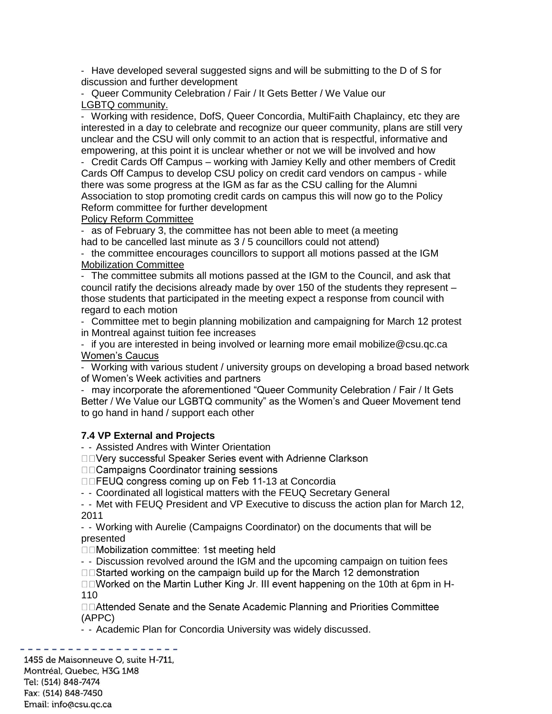‐ Have developed several suggested signs and will be submitting to the D of S for discussion and further development

‐ Queer Community Celebration / Fair / It Gets Better / We Value our LGBTQ community.

‐ Working with residence, DofS, Queer Concordia, MultiFaith Chaplaincy, etc they are interested in a day to celebrate and recognize our queer community, plans are still very unclear and the CSU will only commit to an action that is respectful, informative and empowering, at this point it is unclear whether or not we will be involved and how

‐ Credit Cards Off Campus – working with Jamiey Kelly and other members of Credit Cards Off Campus to develop CSU policy on credit card vendors on campus - while there was some progress at the IGM as far as the CSU calling for the Alumni Association to stop promoting credit cards on campus this will now go to the Policy Reform committee for further development

Policy Reform Committee

‐ as of February 3, the committee has not been able to meet (a meeting had to be cancelled last minute as 3 / 5 councillors could not attend)

‐ the committee encourages councillors to support all motions passed at the IGM Mobilization Committee

‐ The committee submits all motions passed at the IGM to the Council, and ask that council ratify the decisions already made by over 150 of the students they represent – those students that participated in the meeting expect a response from council with regard to each motion

‐ Committee met to begin planning mobilization and campaigning for March 12 protest in Montreal against tuition fee increases

‐ if you are interested in being involved or learning more email mobilize@csu.qc.ca Women's Caucus

‐ Working with various student / university groups on developing a broad based network of Women's Week activities and partners

‐ may incorporate the aforementioned "Queer Community Celebration / Fair / It Gets Better / We Value our LGBTQ community" as the Women's and Queer Movement tend to go hand in hand / support each other

## **7.4 VP External and Projects**

‐ ‐ Assisted Andres with Winter Orientation

□□Very successful Speaker Series event with Adrienne Clarkson

□□ Campaigns Coordinator training sessions

□□FEUQ congress coming up on Feb 11-13 at Concordia

‐ ‐ Coordinated all logistical matters with the FEUQ Secretary General

‐ ‐ Met with FEUQ President and VP Executive to discuss the action plan for March 12, 2011

‐ ‐ Working with Aurelie (Campaigns Coordinator) on the documents that will be presented

□□Mobilization committee: 1st meeting held

- - Discussion revolved around the IGM and the upcoming campaign on tuition fees

□□Started working on the campaign build up for the March 12 demonstration

 $\square$  Worked on the Martin Luther King Jr. III event happening on the 10th at 6pm in H-110

□□Attended Senate and the Senate Academic Planning and Priorities Committee (APPC)

‐ ‐ Academic Plan for Concordia University was widely discussed.

<u>. . . . . . . . . .</u> 1455 de Maisonneuve O, suite H-711,

Montréal, Quebec, H3G 1M8 Tel: (514) 848-7474 Fax: (514) 848-7450 Email: info@csu.gc.ca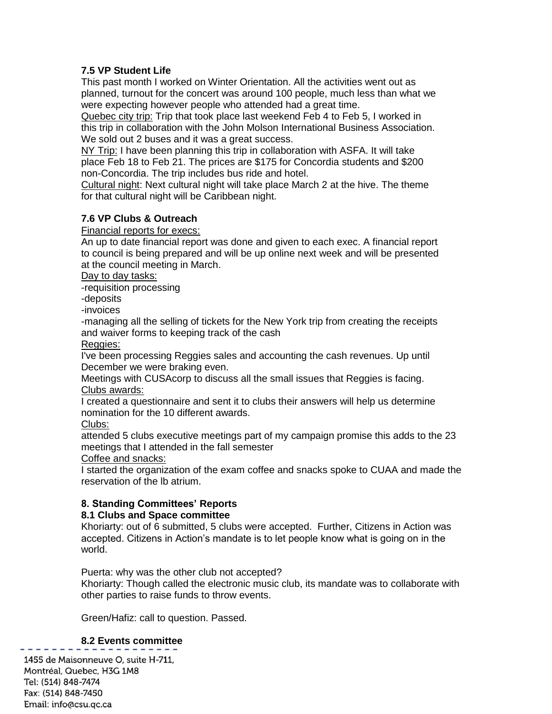## **7.5 VP Student Life**

This past month I worked on Winter Orientation. All the activities went out as planned, turnout for the concert was around 100 people, much less than what we were expecting however people who attended had a great time.

Quebec city trip: Trip that took place last weekend Feb 4 to Feb 5, I worked in this trip in collaboration with the John Molson International Business Association. We sold out 2 buses and it was a great success.

NY Trip: I have been planning this trip in collaboration with ASFA. It will take place Feb 18 to Feb 21. The prices are \$175 for Concordia students and \$200 non-Concordia. The trip includes bus ride and hotel.

Cultural night: Next cultural night will take place March 2 at the hive. The theme for that cultural night will be Caribbean night.

## **7.6 VP Clubs & Outreach**

Financial reports for execs:

An up to date financial report was done and given to each exec. A financial report to council is being prepared and will be up online next week and will be presented at the council meeting in March.

Day to day tasks:

-requisition processing

-deposits

-invoices

-managing all the selling of tickets for the New York trip from creating the receipts and waiver forms to keeping track of the cash

Reggies:

I've been processing Reggies sales and accounting the cash revenues. Up until December we were braking even.

Meetings with CUSAcorp to discuss all the small issues that Reggies is facing. Clubs awards:

I created a questionnaire and sent it to clubs their answers will help us determine nomination for the 10 different awards.

Clubs:

attended 5 clubs executive meetings part of my campaign promise this adds to the 23 meetings that I attended in the fall semester

Coffee and snacks:

I started the organization of the exam coffee and snacks spoke to CUAA and made the reservation of the lb atrium.

## **8. Standing Committees' Reports**

## **8.1 Clubs and Space committee**

Khoriarty: out of 6 submitted, 5 clubs were accepted. Further, Citizens in Action was accepted. Citizens in Action's mandate is to let people know what is going on in the world.

Puerta: why was the other club not accepted? Khoriarty: Though called the electronic music club, its mandate was to collaborate with other parties to raise funds to throw events.

Green/Hafiz: call to question. Passed.

## **8.2 Events committee**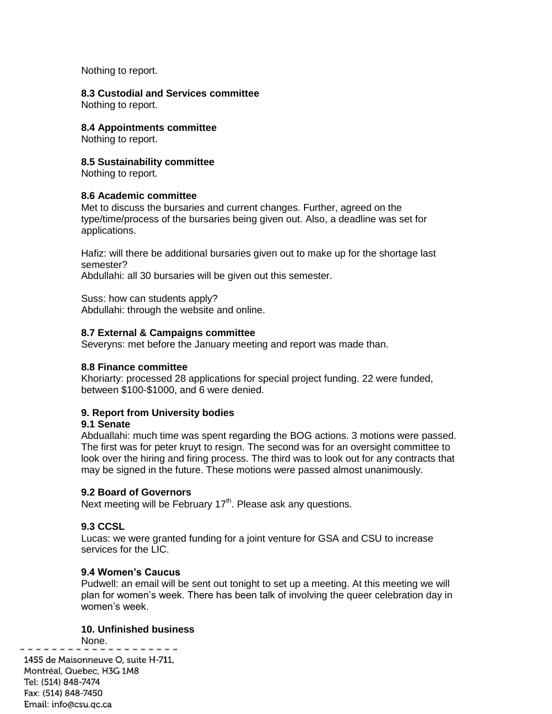Nothing to report.

# **8.3 Custodial and Services committee**

Nothing to report.

### **8.4 Appointments committee**

Nothing to report.

## **8.5 Sustainability committee**

Nothing to report.

### **8.6 Academic committee**

Met to discuss the bursaries and current changes. Further, agreed on the type/time/process of the bursaries being given out. Also, a deadline was set for applications.

Hafiz: will there be additional bursaries given out to make up for the shortage last semester?

Abdullahi: all 30 bursaries will be given out this semester.

Suss: how can students apply? Abdullahi: through the website and online.

### **8.7 External & Campaigns committee**

Severyns: met before the January meeting and report was made than.

### **8.8 Finance committee**

Khoriarty: processed 28 applications for special project funding. 22 were funded, between \$100-\$1000, and 6 were denied.

## **9. Report from University bodies**

### **9.1 Senate**

Abduallahi: much time was spent regarding the BOG actions. 3 motions were passed. The first was for peter kruyt to resign. The second was for an oversight committee to look over the hiring and firing process. The third was to look out for any contracts that may be signed in the future. These motions were passed almost unanimously.

### **9.2 Board of Governors**

Next meeting will be February  $17<sup>th</sup>$ . Please ask any questions.

## **9.3 CCSL**

Lucas: we were granted funding for a joint venture for GSA and CSU to increase services for the LIC.

### **9.4 Women's Caucus**

Pudwell: an email will be sent out tonight to set up a meeting. At this meeting we will plan for women's week. There has been talk of involving the queer celebration day in women's week.

## **10. Unfinished business**